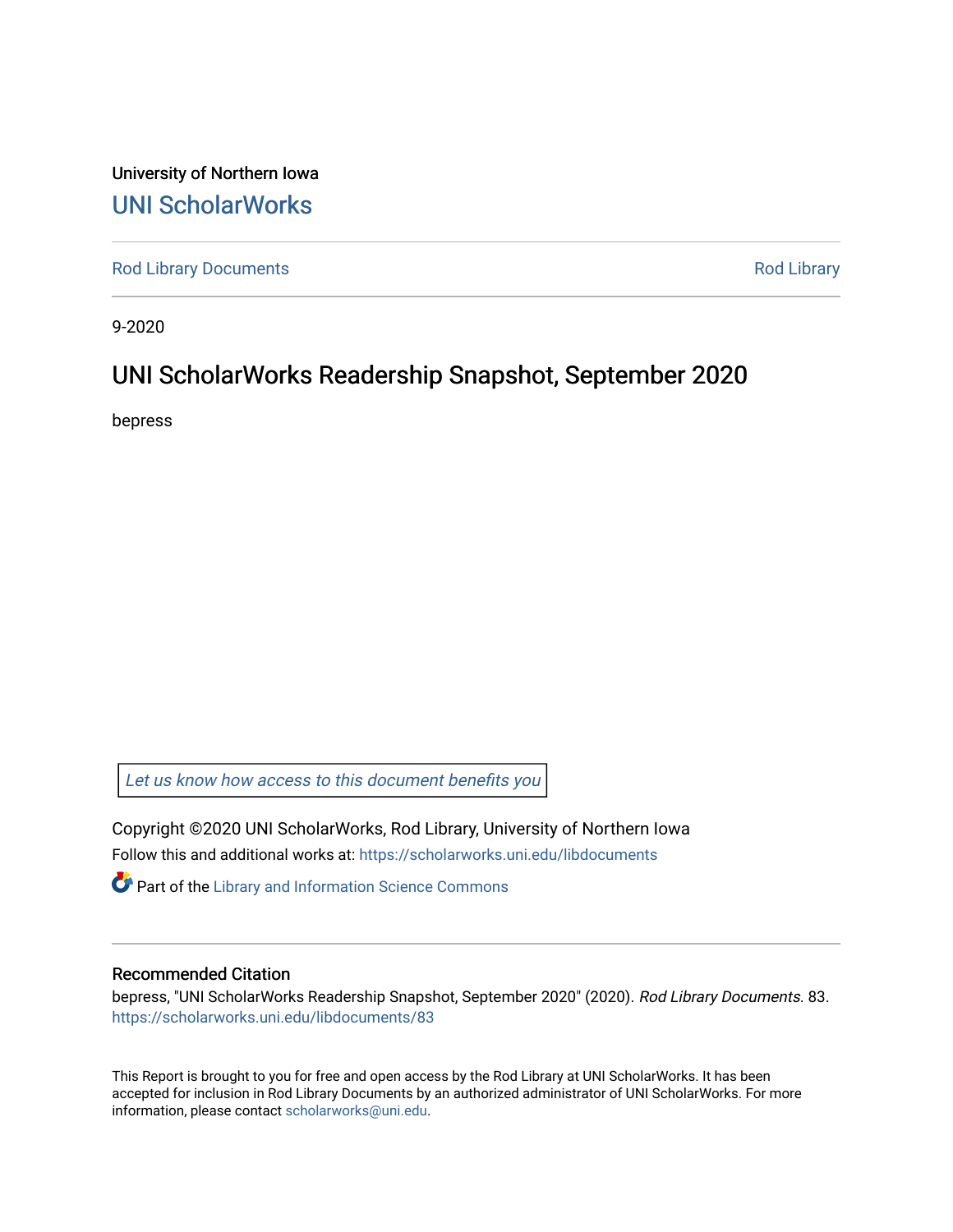University of Northern Iowa [UNI ScholarWorks](https://scholarworks.uni.edu/) 

[Rod Library Documents](https://scholarworks.uni.edu/libdocuments) **[Rod Library](https://scholarworks.uni.edu/lib) Rod Library** 

9-2020

# UNI ScholarWorks Readership Snapshot, September 2020

bepress

Let us know how access to this document benefits you

Copyright ©2020 UNI ScholarWorks, Rod Library, University of Northern Iowa Follow this and additional works at: [https://scholarworks.uni.edu/libdocuments](https://scholarworks.uni.edu/libdocuments?utm_source=scholarworks.uni.edu%2Flibdocuments%2F83&utm_medium=PDF&utm_campaign=PDFCoverPages) 

**Part of the Library and Information Science Commons** 

## Recommended Citation

bepress, "UNI ScholarWorks Readership Snapshot, September 2020" (2020). Rod Library Documents. 83. [https://scholarworks.uni.edu/libdocuments/83](https://scholarworks.uni.edu/libdocuments/83?utm_source=scholarworks.uni.edu%2Flibdocuments%2F83&utm_medium=PDF&utm_campaign=PDFCoverPages)

This Report is brought to you for free and open access by the Rod Library at UNI ScholarWorks. It has been accepted for inclusion in Rod Library Documents by an authorized administrator of UNI ScholarWorks. For more information, please contact [scholarworks@uni.edu.](mailto:scholarworks@uni.edu)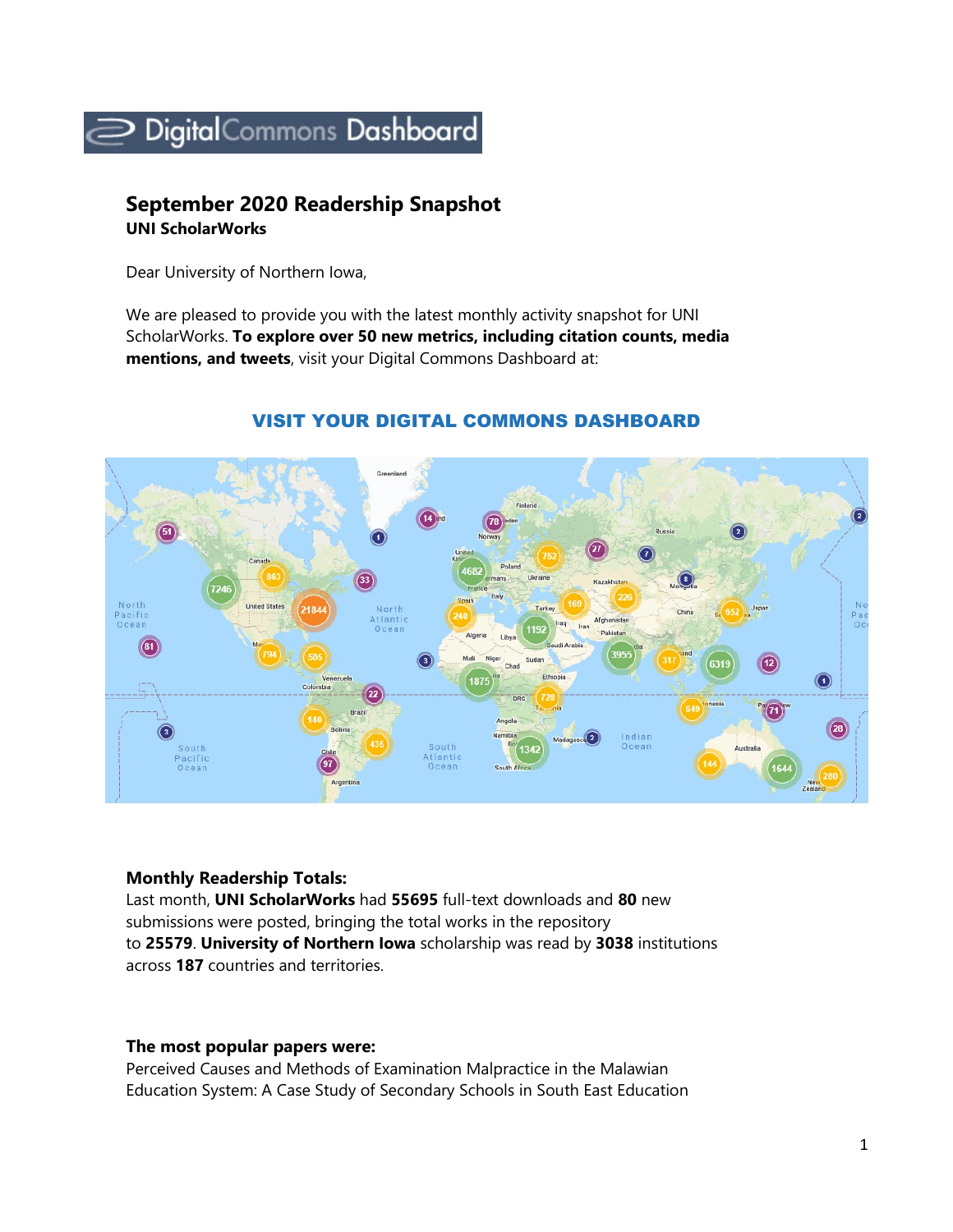

## **September 2020 Readership Snapshot UNI ScholarWorks**

Dear University of Northern Iowa,

We are pleased to provide you with the latest monthly activity snapshot for UNI ScholarWorks. **To explore over 50 new metrics, including citation counts, media mentions, and tweets**, visit your Digital Commons Dashboard at:



## VISIT YOUR DIGITAL COMMONS DASHBOARD

## **Monthly Readership Totals:**

Last month, **UNI ScholarWorks** had **55695** full-text downloads and **80** new submissions were posted, bringing the total works in the repository to **25579**. **University of Northern Iowa** scholarship was read by **3038** institutions across **187** countries and territories.

## **The most popular papers were:**

Perceived Causes and Methods of Examination Malpractice in the Malawian Education System: A Case Study of Secondary Schools in South East Education